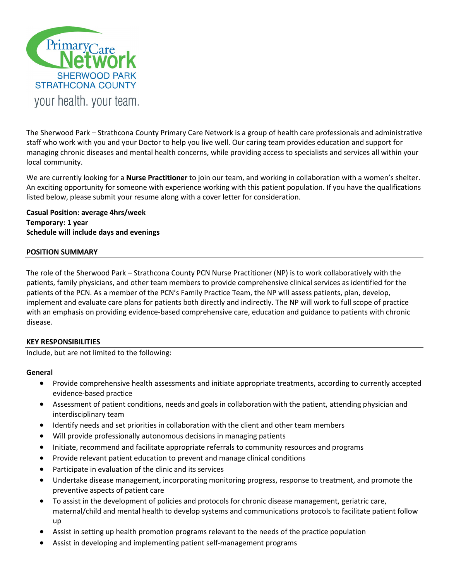

The Sherwood Park – Strathcona County Primary Care Network is a group of health care professionals and administrative staff who work with you and your Doctor to help you live well. Our caring team provides education and support for managing chronic diseases and mental health concerns, while providing access to specialists and services all within your local community.

We are currently looking for a **Nurse Practitioner** to join our team, and working in collaboration with a women's shelter. An exciting opportunity for someone with experience working with this patient population. If you have the qualifications listed below, please submit your resume along with a cover letter for consideration.

**Casual Position: average 4hrs/week Temporary: 1 year Schedule will include days and evenings**

### **POSITION SUMMARY**

The role of the Sherwood Park – Strathcona County PCN Nurse Practitioner (NP) is to work collaboratively with the patients, family physicians, and other team members to provide comprehensive clinical services as identified for the patients of the PCN. As a member of the PCN's Family Practice Team, the NP will assess patients, plan, develop, implement and evaluate care plans for patients both directly and indirectly. The NP will work to full scope of practice with an emphasis on providing evidence-based comprehensive care, education and guidance to patients with chronic disease.

## **KEY RESPONSIBILITIES**

Include, but are not limited to the following:

#### **General**

- Provide comprehensive health assessments and initiate appropriate treatments, according to currently accepted evidence-based practice
- Assessment of patient conditions, needs and goals in collaboration with the patient, attending physician and interdisciplinary team
- Identify needs and set priorities in collaboration with the client and other team members
- Will provide professionally autonomous decisions in managing patients
- Initiate, recommend and facilitate appropriate referrals to community resources and programs
- Provide relevant patient education to prevent and manage clinical conditions
- Participate in evaluation of the clinic and its services
- Undertake disease management, incorporating monitoring progress, response to treatment, and promote the preventive aspects of patient care
- To assist in the development of policies and protocols for chronic disease management, geriatric care, maternal/child and mental health to develop systems and communications protocols to facilitate patient follow up
- Assist in setting up health promotion programs relevant to the needs of the practice population
- Assist in developing and implementing patient self-management programs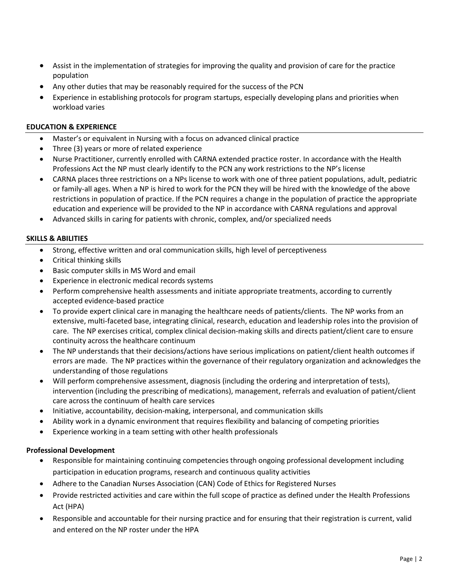- Assist in the implementation of strategies for improving the quality and provision of care for the practice population
- Any other duties that may be reasonably required for the success of the PCN
- Experience in establishing protocols for program startups, especially developing plans and priorities when workload varies

## **EDUCATION & EXPERIENCE**

- Master's or equivalent in Nursing with a focus on advanced clinical practice
- Three (3) years or more of related experience
- Nurse Practitioner, currently enrolled with CARNA extended practice roster. In accordance with the Health Professions Act the NP must clearly identify to the PCN any work restrictions to the NP's license
- CARNA places three restrictions on a NPs license to work with one of three patient populations, adult, pediatric or family-all ages. When a NP is hired to work for the PCN they will be hired with the knowledge of the above restrictions in population of practice. If the PCN requires a change in the population of practice the appropriate education and experience will be provided to the NP in accordance with CARNA regulations and approval
- Advanced skills in caring for patients with chronic, complex, and/or specialized needs

### **SKILLS & ABILITIES**

- Strong, effective written and oral communication skills, high level of perceptiveness
- Critical thinking skills
- Basic computer skills in MS Word and email
- Experience in electronic medical records systems
- Perform comprehensive health assessments and initiate appropriate treatments, according to currently accepted evidence-based practice
- To provide expert clinical care in managing the healthcare needs of patients/clients. The NP works from an extensive, multi-faceted base, integrating clinical, research, education and leadership roles into the provision of care. The NP exercises critical, complex clinical decision-making skills and directs patient/client care to ensure continuity across the healthcare continuum
- The NP understands that their decisions/actions have serious implications on patient/client health outcomes if errors are made. The NP practices within the governance of their regulatory organization and acknowledges the understanding of those regulations
- Will perform comprehensive assessment, diagnosis (including the ordering and interpretation of tests), intervention (including the prescribing of medications), management, referrals and evaluation of patient/client care across the continuum of health care services
- Initiative, accountability, decision-making, interpersonal, and communication skills
- Ability work in a dynamic environment that requires flexibility and balancing of competing priorities
- Experience working in a team setting with other health professionals

## **Professional Development**

- Responsible for maintaining continuing competencies through ongoing professional development including participation in education programs, research and continuous quality activities
- Adhere to the Canadian Nurses Association (CAN) Code of Ethics for Registered Nurses
- Provide restricted activities and care within the full scope of practice as defined under the Health Professions Act (HPA)
- Responsible and accountable for their nursing practice and for ensuring that their registration is current, valid and entered on the NP roster under the HPA